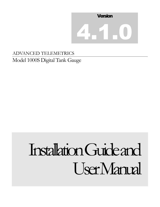

## ADVANCED TELEMETRICS Model 1000S Digital Tank Gauge

# Installation Guide and User Manual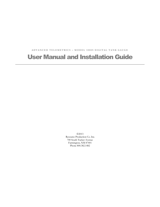**A D V A N C E D T E L E M E T R I C S – M O D E L 1 0 0 0 S D I G I T A L T A N K G A U G E**

## User Manual and Installation Guide

2013 Resource Production Co. Inc. 700 South Tucker Avenue Farmington, NM 87401 Phone 800.382.1482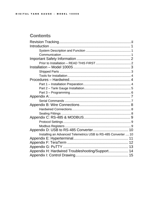## **Contents**

| Installing an Advanced Telemetrics USB to RS-485 Converter  10 |  |  |  |  |
|----------------------------------------------------------------|--|--|--|--|
|                                                                |  |  |  |  |
|                                                                |  |  |  |  |
|                                                                |  |  |  |  |
| Appendix H: Hardwired Troubleshooting/Support 14               |  |  |  |  |
|                                                                |  |  |  |  |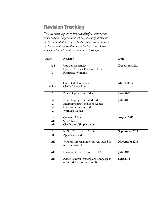## <span id="page-3-0"></span>Revision Tracking

*This Manual may be revised periodically to incorporate new or updated information. A major change in content of the manual also changes the date and revision number of the manual, which appears on the front cover. Listed below are the dates and revisions of each change.*

| Page                    | <b>Revision</b>                                                           | Date             |  |
|-------------------------|---------------------------------------------------------------------------|------------------|--|
| 7,8                     | <b>Updated Appendices</b>                                                 | December 2012    |  |
| $\mathbf{i}$            | Updated Cover - Removed "Draft"                                           |                  |  |
| $\mathbf{1}$            | Formatted Warnings                                                        |                  |  |
|                         |                                                                           |                  |  |
| n/a                     | Corrected Numbering                                                       | March 2013       |  |
| 4, 5, 6                 | <b>Clarified Procedures</b>                                               |                  |  |
| $\overline{2}$          | Power Supply Specs Added                                                  | <b>June 2013</b> |  |
| $\boldsymbol{2}$        | Power Supply Specs Modified                                               | <b>July 2013</b> |  |
| $\boldsymbol{2}$        | <b>Environmental Conditions Added</b>                                     |                  |  |
| $\overline{\mathbf{c}}$ | Use Instructions Added                                                    |                  |  |
| $\overline{2}$          | Warnings Added                                                            |                  |  |
| iv                      | <b>Contents Added</b>                                                     | August 2013      |  |
| A11                     | Style Change                                                              |                  |  |
| A11                     | Clarification/Simplification                                              |                  |  |
| $\overline{2}$          | NRTL Certification Clarified                                              | September 2013   |  |
| 11                      | Appendices added                                                          |                  |  |
| A11                     | Wireless Information Removed, added to<br>separate Manual                 | November 2013    |  |
| A11                     | Language Corrected for UL1203                                             | <b>July 2014</b> |  |
| A11                     | Added Control Drawing and Language to<br>reflect addition of Junction Box | Sept 2014        |  |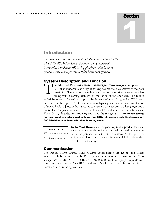## **Section** 1

## <span id="page-4-0"></span>**Introduction**

*This manual covers operation and installation instructions for the Model 1000S Digital Tank Gauge system by Advanced Telemetrics. The Model 1000S is typically installed in above ground storage tanks for real-time fluid level management.* 

#### <span id="page-4-1"></span>System Description and Function

the Advanced Telemetrics Model 1000S Digital Tank Gauge is comprised of a CPU that connects to an array of sensing devices that are sensitive to magnetic proximity. The float or multiple floats ride on the outside of sealed stainless tubing with a sensing element on the inside of the enclosure. The tube is sealed by means of a welded cap on the bottom of the tubing and a CPU headenclosure on the top. The CPU head-enclosure typically sits a few inches above the top of the tank with a junction box attached to make up connections to other gauges and a controller. The gauge is sealed in the tank via a Q245 steel compression fitting and Viton O-ring threaded into coupling entry into the storage tank. **The device tubing,** screws, washers, clips, and cabling are 316L stainless steel. Enclosures are 6061-T6 billet aluminum with double O-ring seals. T

| ICON KEY                       |
|--------------------------------|
| Valuable information           |
| $\triangle$ Safety information |
|                                |

**Digital Tank Gauges** are designed to provide product level and water interface levels in inches as well as fluid temperature below the primary product float. An optional  $3<sup>rd</sup>$  float provides a high-level alarm circuit that is discrete and fully independent from the sensing array.

#### <span id="page-4-2"></span>Communication

The Model 1000S Digital Tank Gauges communicate via RS485 and switch automatically between protocols. The supported communication protocols are Tank Gauge ASCII, MODBUS ASCII, or MODBUS RTU. Each gauge responds to a programmable unique MODBUS address. Details on protocols and a list of commands are in the appendices.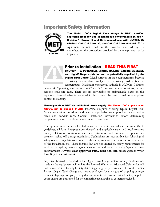## <span id="page-5-0"></span>Important Safety Information



The Model 1000S Digital Tank Gauge is NRTL certified explosion-proof for use in hazardous environments (Class 1, Division 1, Groups C and D) in accordance with UL1203, UL 61010-1, CSA C22.2 No. 30, and CSA C22.2 No. 61010-1. If the equipment is not used in the manner specified by the manufacturer, the protections provided by the equipment may be impaired**.**



#### <span id="page-5-1"></span>Prior to Installation – READ THIS FIRST

CAUTION – A POTENTIAL SHOCK HAZARD EXISTS: Electricity and High-Voltage exists in, and is potentially supplied to, the **Digital Tank Gauge.** Metal surfaces on the equipment may become excessively hot in direct sunlight or excessively cold in freezing temperatures. Maximum operational altitude is 30,000ft. Pollution **Prior to Install:**<br>
CAUTION - A POTENT<br>
and High-Voltage exis<br>
Digital Tank Gauge. M<br>
excessively hot in direct<br>
temperatures Maximum

degree: 4. Operating temperature: -25C to 85C. For use in wet locations, do not remove enclosure caps. There are no serviceable or maintainable parts on this equipment beyond what is described in this manual. In case of malfunction, please contact the factory.

Use only with an NRTL-listed limited power supply. The Model 1000S operates on **12VDC, not to exceed 14VDC.** Examine diagrams showing typical Digital Tank Gauge installation procedures and determine probable install port locations as well as cable and conduit runs. Consult installation instructions before determining temperature rating of cable to be connected to terminals.

The system must be installed following the current national electric code (NEC guidelines, all local interpretations thereof, and applicable state and local electrical codes). Determine location of electrical distribution and breakers. Keep electrical breakers locked-off during installation. Technicians are responsible for following all safety rules and regulations required by their employer and/or the owner or leaseholder of the installation site. These include, but are not limited to, safety requirements for working in hydrogen-sulfide gas environments and static electricity/spark sensitive environments. **Always wear approved FRC, hard-hat, and safety glasses when handling this equipment.** 

Any unauthorized parts used in the Digital Tank Gauge system, or any modifications made to the equipment, will nullify the Limited Warranty. Advanced Telemetrics will not be responsible for any liability claims regarding the performance of modified units. Inspect Digital Tank Gauge and related packages for any signs of shipping damage. Contact shipping company if any damage is noticed. Ensure that all factory-supplied components are accounted for by comparing packing slip to contents received.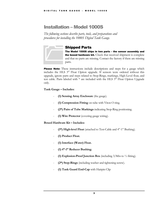## <span id="page-6-0"></span>Installation – Model 1000S

*The following sections describe parts, tools, and preparations and procedures for installing the 1000S Digital Tank Gauge.*



#### <span id="page-6-1"></span>Shipped Parts

The Model 1000S ships in two parts – the sensor assembly and the boxed hardware kit. Check that received shipment is complete and that no parts are missing. Contact the factory if there are missing parts. **Shipped Parts**<br>The Model 1000S ship<br>the boxed hardware ki<br>and that no parts are mi<br>parts.

**Please Note:** These instructions include descriptions and steps for a gauge which includes the HLS  $3<sup>rd</sup>$  Float Option upgrade. If sensors were ordered without this upgrade, ignore parts and steps related to Stop-Rings, markings, High-Level float, and test cable. Parts labeled with  $*$  are included with the HLS  $3<sup>rd</sup>$  Float Option Upgrade only.

#### **Tank Gauge – Includes:**

- **(1) Sensing Array Enclosure** (the gauge).
- **(1) Compression Fitting** on tube with Viton O-ring.
- **(2\*) Pairs of Tube Markings** indicating Stop-Ring positioning.
- **(1) Wire Protector** (covering gauge wiring).

#### **Boxed Hardware Kit – Includes:**

- (1<sup>\*</sup>) High-level Float (attached to Test-Cable and 4"-1" Bushing).
- **(1) Product Float.**
- **(1) Interface (Water) Float.**
- **(1) 4"-1" Reducer Bushing.**
- **(1) Explosion-Proof Junction Box** (including 3/8ths to ½ fitting).
- **(2\*) Stop-Rings** (including washer and tightening-screw).
- **(1) Tank Guard End-Cap** with Hairpin Clip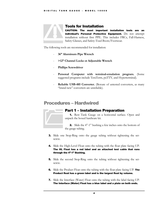

#### <span id="page-7-0"></span>Tools for Installation

CAUTION: The most important installation tools are an individual's Personal Protective Equipment. Do not attempt installation without first PPE. This includes FRCs, Fall-Harness, Safety Glasses, and Safety-Toed Boots/Footwear.

The following tools are recommended for installation:

- **36" Aluminum Pipe Wrench**
- **>12" Channel Locks or Adjustable Wrench**
- **Phillips Screwdriver**
- Personal Computer with terminal-emulation program. (Some suggested programs include TeraTerm, puTTY, and Hyperterminal).
- **Reliable USB-485 Converter.** (Beware of untested converters, as many "brand new" converters are unreliable).

## <span id="page-7-1"></span>Procedures – Hardwired

<span id="page-7-2"></span>



2. Slide the 4"-1" bushing a few inches onto the bottom of the gauge tubing.

- 3. Slide one Stop-Ring onto the gauge tubing without tightening the setscrew.
- 4. Slide the High-Level Float onto the tubing with the float plate facing UP. The HL Float has a red label and an attached test cable that runs through the 4"-1" Bushing.
- 5. Slide the second Stop-Ring onto the tubing without tightening the setscrew.
- **6.** Slide the Product Float onto the tubing with the float plate facing UP. The Product float has a green label and is the largest float by volume.
- 7. Slide the Interface (Water) Float onto the tubing with the label facing UP. The Interface (Water) Float has a blue label and a plate on both ends.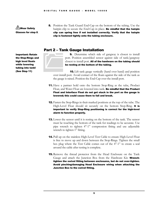<u>∕!</u>∖Wear Safety Glasses for step 8. 8. Position the Tank Guard End-Cap on the bottom of the tubing. Use the hairpin clip to secure the End-Cap in place. Be mindful that the hairpin clip can spring free if not installed correctly. Verify that the hairpin clip is fastened tightly onto the tubing enclosure.

#### <span id="page-8-0"></span>Part 2 – Tank Gauge Installation

Important: Retain the Stop-Rings and high level floats while lowering tubing into tank! (See Step 11)

9. Determine which side of gangway is closest to install port. Position assembled sensor against side of tank/gangway closest to install port. All of the hardware on the tubing should be resting at the bottom of the tubing. 9. Determine whis<br>port. Position assemble<br>closest to install port. All<br>be resting at the botto

10. Lift tank gauge vertically (hand over hand) and position over install port. Avoid contact of the floats against the side of the tank as the gauge is raised. Position the End-Cap over the install port.

- 11. Have a partner hold onto the bottom Stop-Ring as the tube, Product Float, and Water Float are lowered into tank. **Be mindful that the Product** Float and Interface Float do not get stuck in the port as the gauge is lowered; this could cause them to fall and break.
- 12. Fasten the Stop-Rings in their marked positions at the top of the tube. The High-Level Float should sit securely on the bottom Stop-Ring. It is important to verify Stop-Ring positioning is correct for the high-level alarm to function properly.
- 13. Lower the sensor until it is resting on the bottom of the tank. The sensor must be touching the bottom of the tank for readings to be accurate. Use pipe wrench to tighten 4"-1" compression fitting and use adjustable wrench to tighten 1" fitting.
- 14. Pull up on the stainless High-Level Test Cable to ensure High-Level Float is free to move up and down between the Stop-Rings. Tighten the small hex plug where the Test Cable comes out of the 4"-1" to create a seal around the cable after testing is complete.
- 15. Remove the thread protector from the Head Enclosure on the Tank Gauge and attach the Junction Box from the Hardware Kit. Wrenchtighten the swivel fitting between enclosures, but do not over-tighten. Avoid pinching/damaging Head Enclosure wiring when attaching the Junction Box to the swivel fitting.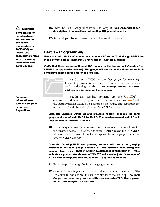## ⚠ Warning:

Temperature of metal surfaces and enclosures can reach temperatures of 185F (85C) and above. Use appropriately rated wire to make up connection with Tank Gauges.

**16.** Leave the Tank Gauge unpowered until Step 18. **See Appendix B for** description of connections and sealing fitting requirements.

17. Repeat steps 1-16 for all gauges on site, leaving all unpowered.

#### <span id="page-9-0"></span>Part 3 – Programming

Use a trusted USB-RS485 converter to connect PC to the Tank Gauge RS485 line at the control box: A (Tx/Rx Pos., Green) and B (Tx/Rx Neg., White)

Verify that there are no additional 485 signals on the line (no polls/queries from RTU/PLC or app cards/modules). The gauge will not respond if there are multiple conflicting query sources are on the 485 line.



18. Connect 12VDC to the first gauge for renaming. Connecting power to one gauge at a time is the best way to avoid addressing conflicts. The factory default MODBUS address can be found on the headcap. **18.** Connect 12VI<br>Connecting power to a<br>avoid addressing contraddress can be found of<br>**19.** In any terminal

**19.** In any terminal program, use the  $U#HIDT#H$ command to address the gauge as required. Substitute the first " $##$ " with the starting/default MODBUS address of the gauge, and substitute the second "##" with the ending/desired MODBUS address.

#### Example: Entering U01IDT22 and pressing <enter> changes the tank gauge address of unit ID 01 to ID 22. The newly-renamed unit 22 will respond with "U22NewIDTankYOk".

20. Use a query command to confirm communication at the control box for the renamed gauge. Use U##? and press <enter> (using the MODBUS address in place of ##). Look for a response from the gauge to confirm new MODBUS address.

Example: Entering U22? and pressing <enter> will return the gauging information for tank gauge address 22. The returned data string will appear like this: U22D219.53D011.24F074E0000W0000C7141. This indicates a product (total) level of 219.53" and a water (interface) level of 11.24" with a temperature in the tank of 74 degrees Fahrenheit.

- 21. Repeat steps 18 through 20 for all the gauges on site.
- 22. Once all Tank Gauges are renamed to desired scheme, disconnect USB-485 converter and connect the user's controller to the 485 loop. The Tank Gauges are now ready for use with user controller/PLC. Cycle power to the Tank Gauges as a final step.

For more information on terminal program setup, see Appendices.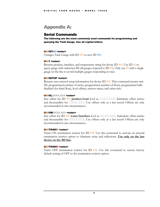## <span id="page-10-0"></span>Appendix A:

#### <span id="page-10-1"></span>Serial Commands

The following are the most commonly used commands for programming and querying the Tank Gauge. Use all capital letters.

#### U##IDT## <enter>

Changes Tank Gauge with ID ## to new ID **##**.

#### U##? <enter>

Returns product, interface, and temperature string for device ID  $\#$ #. Use ID 00 to query gauge with unknown ID (all gauges respond to ID  $(0)$ ). Only use  $(0)$  with a single gauge on the line to avoid multiple gauges responding at once.

#### U##SETUP <enter>

Returns user-entered setup information for device ID ##. This command returns unit ID, programmed number of sticks, programmed number of floats, programmed halls disabled (for third float), level offsets, resistor status, and other info.

#### U##OLXXXX.XXX <enter>

Sets offset for ID  $#$ # **product/total** level as XXXX.XXX. Substitute offset inches and thousandths for XXXX.XXX. Use offsets only as a last resort! Offsets are only recommended in rare circumstances.

#### U##OWXXXXX.XXXX <enter>

Sets offset for ID **## water/interface** level as XXXX.XXX. Substitute offset inches and thousandths for XXXX.XXX. Use offsets only as a last resort! Offsets are only recommended in rare circumstances.

#### U##TR4851 <enter>

Turns ON termination resistor for ID  $\#$ #. Use this command to activate an internal termination resistor option to eliminate noise and reflections. **Use only on the last device on the 485 line.**

#### U##TR4850 <enter>

Turns OFF termination resistor for ID ##. Use this command to restore factory default setting of OFF to the termination resistor option.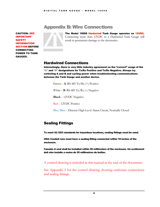CAUTION: SEE IMPORTANT **SAFETY** INFORMATION SECTION BEFORE CONNECTING POWER TO TANK GAUGES.



<span id="page-11-0"></span>**Appendix B: Wire Connections**<br>
The Model 1000S Hardwired Tank Ga<br>
Connecting more than 12VDC to a Hiresult in permanent damage to the electro The Model 1000S Hardwired Tank Gauge operates on 12VDC. Connecting more than 12VDC to a Hardwired Tank Gauge will result in permanent damage to the electronics.

### <span id="page-11-1"></span>Hardwired Connections

Interestingly, there is very little industry agreement on the "correct" usage of the  $H^{(k)}$  and  $H^{(k)}$  designations for Tx/Rx Positive and Tx/Rx Negative. Always try switching A and B and cycling power when troubleshooting communications between the Tank Gauge and another device.

**Green** – **A**: RS-485 Tx/Rx (+) Positive

White  $-$  **B**: RS-485 Tx/Rx  $\left(-\right)$  Negative

**Black** – 12VDC Negative

Red – 12VDC Positive

Blue/Blue – Discrete High-Level Alarm Circuit, Normally Closed

## <span id="page-11-2"></span>Sealing Fittings

To meet UL1203 standards for hazardous locations, sealing fittings must be used.

USA: Conduit runs must have a sealing fitting connected within 18 inches of the enclosure.

Canada: A seal shall be installed within 50 millimeters of the enclosure. Un scellement doit etre installe a moins de 50 millimetres du boitier.

A control drawing is included in this manual at the end of the document:

See Appendix I for the control drawing showing enclosure connections and sealing fittings.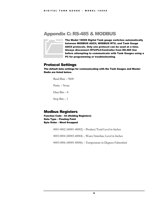## <span id="page-12-0"></span>Appendix C: RS-485 & MODBUS



The Model 1000S Digital Tank gauge switches automatically between MODBUS ASCII, MODBUS RTU, and Tank Gauge ASCII protocols. Only one protocol can be used at a time. Always disconnect RTU/PLC/Controller from RS-485 line before attempting to communicate with Tank Gauges using a PC for programming or troubleshooting. The Model 1000S Digitation<br>between MODBUS AS<br>ASCII protocols. Only<br>Always disconnect R1<br>before attempting to<br>PC for programming of

#### <span id="page-12-1"></span>Protocol Settings

The default data settings for communicating with the Tank Gauges and Master Radio are listed below.

Baud Rate – 9600

Parity – None

Data Bits – 8

Stop Bits  $-1$ 

#### <span id="page-12-2"></span>Modbus Registers

Function Code – 03 (Holding Registers) Data Type – Floating Point Byte Order – Word Swapped

0001-0002 (40001-40002) – Product/Total Level in Inches

0003-0004 (40003-40004) – Water/Interface Level in Inches

0005-0006 (40005-40006) – Temperature in Degrees Fahrenheit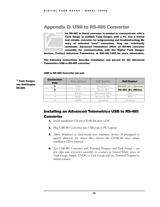## <span id="page-13-0"></span>Appendix D: USB to RS-485 Converter



An RS-485 to Serial converter is needed to communicate with a Tank Gauge or multiple Tank Gauges with a PC. Use a tested and reliable converter for programming and troubleshooting. Be wary of untested "new" converters, they are notoriously unreliable. Advanced Telemetrics offers an RS-485 converter assembly for communicating with the Digital Tank Gauges An RS-485 to Serial co<br>
Tank Gauge or multip<br>
and reliable converter<br>
wary of untested "<br>
unreliable. Advanced<br>
assembly for commu

devices. Contact Advanced Telemetrics at 800.382.1482 for more information.

The following instructions describe installation and pin-out for the Advanced Telemetrics USB to RS-485 converter.

USB to RS-485 Converter pin-out:

\* Tank Gauges use Half-Duplex RS-485.

| <b>Connection</b><br><b>Pole</b> | <b>Data Output</b> | <b>Full Duplex</b>  | Half-Duplex*               |
|----------------------------------|--------------------|---------------------|----------------------------|
|                                  | $T/R+$             | Send (A+)           | <b>RS-485 (A+) (Green)</b> |
|                                  | $T/R-$             | Send (B-)           | <b>RS-485 (B-) (White)</b> |
|                                  | <b>RXD+</b>        | <b>Receive (A+)</b> | N/C                        |
|                                  | <b>RXD-</b>        | <b>Receive (B-)</b> | N/C                        |
|                                  | <b>GND</b>         | <b>Ground</b>       | <b>Ground</b>              |

#### <span id="page-13-1"></span>Installing an Advanced Telemetrics USB to RS-485 Converter

- 1. Insert installation CD into CD-ROM drive of PC.
- 2. Plug USB-485 Converter into USB port of PC/Laptop
- 3. Allow Windows to find/install new hardware device. If prompted to specify directory for driver files, choose the CD-ROM drive where installation CD is inserted.
- 4. Test USB-485 Converter with Terminal Program and Tank Gauge use test clips and converter assembly to connect to Green/White wires of Tank Gauge. Supply 12VDC to Tank Gauge and use Terminal Program to initiate comms.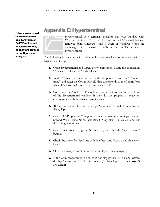\*Users are advised to download and use TeraTerm or PuTTY as instead of Hyperterminal, as they are simpler to configure and navigate.

## <span id="page-14-0"></span>Appendix E: Hyperterminal

Hyperterminal is a terminal emulator that was bundled with Windows Vista and XP (and older versions of Windows) but was removed from Windows 7 and 8. Users of Windows 7 or 8 are encouraged to download TeraTerm or PuTTY instead of Hyperterminal. Hyperterminal is a te<br>Windows Vista and XI<br>removed from Window<br>encouraged to down<br>Hyperterminal.

The following instructions will configure Hyperterminal to communicate with the Digital Tank Gauge.

- 1. Open Hyperterminal and Open a new connection. Name the connection "Advanced Telemetrics" and click OK.
- 2. In the 'Connect to' window, select the dropdown menu for "Connect using" and select the Comm Port ID that corresponds to the Comm Port where USB-to-RS485 converter is connected to PC.
- **3.** Com properties '9600 N-8-1' should appear in the info box on the bottom of the Hyperterminal window. If they do, the program is ready to communicate with the Digital Tank Gauges.
- 4. If they do not and the info box says "auto-detect", Click 'Disconnect' / 'Hang Up'.
- 5. Open File>Properties>Configure and select correct com settings (Bits Per Second: 9600, Parity: None, Data Bits: 8, Stop Bits: 1). Click OK and exit the Configuration menu.
- 6. Open File>Properties, go to Settings tab, and click the 'ASCII Setup" button.
- 7. Check the boxes for 'Send line with line feeds' and 'Echo typed characters locally'.
- **8.** Click 'Call' to open communication with Digital Tank Gauges.
- **9.** If the Com properties info box does not display 9600 N-8-1 and instead displays "auto-detect", click 'Disconnect' / 'Hang Up' and repeat **step 5** and step 8.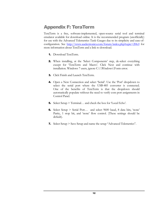## <span id="page-15-0"></span>Appendix F: TeraTerm

TeraTerm is a free, software-implemented, open-source serial tool and terminal emulator available for download online. It is the recommended program (unofficially) for use with the Advanced Telemetrics Tank Gauges due to its simplicity and ease-ofconfiguration. See <http://www.auelectronics.com/forum/index.php?topic=206.0> for more information about TeraTerm and a link to download.

- 1. Download TeraTerm.
- 2. When installing, at the 'Select Components' step, de-select everything except for 'TeraTerm and Macro'. Click Next and continue with installation. Windows 7 users, ignore C:\\Windows\Fonts error.
- 3. Click Finish and Launch TeraTerm.
- 4. Open a New Connection and select 'Serial'. Use the 'Port' dropdown to select the serial port where the USB-485 converter is connected. One of the benefits of TeraTerm is that the dropdown should automatically populate without the need to verify com port assignments in Control Panel.
- 5. Select Setup > Terminal… and check the box for 'Local Echo'.
- 6. Select Setup > Serial Port… and select 9600 baud, 8 data bits, 'none' Parity, 1 stop bit, and 'none' flow control. (These settings should be default).
- 7. Select Setup > Save Setup and name the setup "Advanced Telemetrics".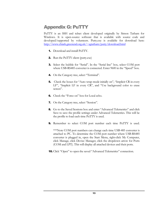## <span id="page-16-0"></span>Appendix G: PuTTY

PuTTY is an SSH and telnet client developed originally by Simon Tatham for Windows. It is open-source software that is available with source code and developed/supported by volunteers. Putty.exe is available for download here: <http://www.chiark.greenend.org.uk/~sgtatham/putty/download.html>

- 1. Download and install PuTTY.
- **2.** Run the PuTTY client (putty.exe)
- 3. Select the bubble for "Serial". In the "Serial line" box, select COM port where USB-RS485 converter is connected. Enter 9600 in the "Speed" box.
- 4. On the Category tree, select "Terminal".
- **5.** Check the boxes for "Auto wrap mode initially on", "Implicit CR in every LF", "Implicit LF in every CR", and "Use background color to erase screen".
- 6. Check the "Force on" box for Local echo.
- 7. On the Category tree, select "Session".
- 8. Go to the Saved Sessions box and enter "Advanced Telemetrics" and click Save to save the profile settings under Advanced Telemetrics. This will be the profile to load each time PuTTY is used.
- 9. Remember to select COM port number each time PuTTY is used.

\*\*\*Note COM port numbers can change each time USB-485 converter is attached to PC. To determine the COM port number where USB-RS485 converter is plugged in, open the Start Menu, right-click My Computer, click Manage, click Device Manager, click the dropdown arrow for Ports (COM and LPT). This will display all attached devices and their ports.

**10.** Click "Open" to open the saved "Advanced Telemetrics" connection.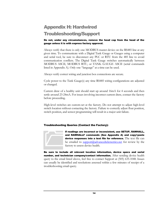## <span id="page-17-0"></span>Appendix H: Hardwired Troubleshooting/Support

#### Do not, under any circumstances, remove the head cap from the head of the gauge unless it is with express factory approval.

Always verify that there is only one MODBUS master device on the RS485 line at any given time. To communicate with a Digital Tank Gauge or Gauges using a computer and serial tool, be sure to disconnect any PLC or RTU from the 485 line to avoid communication conflicts. The Digital Tank Gauge switches automatically between MODBUS ASCII, MODBUS RTU, or TANK GAUGE ASCII (serial commands listed in Appendix A). Only one "language" at a time can be used.

Always verify correct wiring and junction box connections are secure.

Cycle power to the Tank Gauge(s) any time RS485 wiring configurations are adjusted or changed.

Current draw of a healthy unit should start up around 16mA for 4 seconds and then settle around 23-24mA. For issues involving incorrect current draw, contact the factory before proceeding.

High-level switches are custom-set at the factory. Do not attempt to adjust high-level switch location without contacting the factory. Failure to correctly adjust float position, switch position, and sensor programming will result in a major unit failure.

#### Troubleshooting Queries (Contact the Factory):



If readings are incorrect or inconsistent, use SETUP, RAWHALL, and RAWHALLF commands (See Appendix A) and copy+paste device responses into a text file for reference. The text file can be emailed to **support**( $\ddot{Q}$ ) advanced telemetrics.net for review by the factory to assess device health. If readings are incorre<br>and RAWHALLF comm<br>device responses into<br>be emailed to support(<br>factory to assess device

Be sure to include all relevant location information, device specs and serial number, and technician company/contact information. After sending device health query to the email listed above, feel free to contact Support at (505) 635-1048. Issues can usually be identified and resolutions assessed within a few minutes of receipt of a troubleshooting email query.